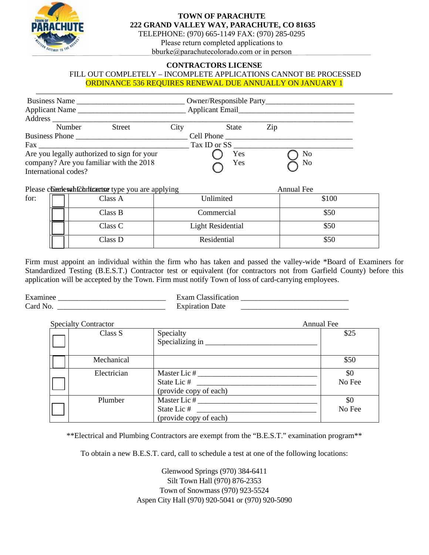

for:

## **TOWN OF PARACHUTE 222 GRAND VALLEY WAY, PARACHUTE, CO 81635**

TELEPHONE: (970) 665-1149 FAX: (970) 285-0295 Please return completed applications to bburke@parachutecolorado.com or in person

### **CONTRACTORS LICENSE**

#### FILL OUT COMPLETELY – INCOMPLETE APPLICATIONS CANNOT BE PROCESSED ORDINANCE 536 REQUIRES RENEWAL DUE ANNUALLY ON JANUARY 1

| <b>Business Name</b><br>Applicant Name<br>Address                                                                                                                                                                              |               |      | Owner/Responsible Party<br>Applicant Email |     |                |
|--------------------------------------------------------------------------------------------------------------------------------------------------------------------------------------------------------------------------------|---------------|------|--------------------------------------------|-----|----------------|
| Number                                                                                                                                                                                                                         | <b>Street</b> | City | State                                      | Zip |                |
| Business Phone                                                                                                                                                                                                                 |               |      | Cell Phone                                 |     |                |
| Fax and the state of the state of the state of the state of the state of the state of the state of the state of the state of the state of the state of the state of the state of the state of the state of the state of the st |               |      | Tax ID or SS                               |     |                |
| Are you legally authorized to sign for your                                                                                                                                                                                    |               |      | Yes                                        |     | N <sub>0</sub> |
| company? Are you familiar with the 2018                                                                                                                                                                                        |               |      | Yes                                        |     | No             |
| International codes?                                                                                                                                                                                                           |               |      |                                            |     |                |

Please check which licenses type you are applying and the contractor Annual Fee

| $\frac{1}{2}$ |                          | THIRAL I CO |
|---------------|--------------------------|-------------|
| Class A       | Unlimited                | \$100       |
| Class B       | Commercial               | \$50        |
| Class C       | <b>Light Residential</b> | \$50        |
| Class D       | Residential              | \$50        |

Firm must appoint an individual within the firm who has taken and passed the valley-wide \*Board of Examiners for Standardized Testing (B.E.S.T.) Contractor test or equivalent (for contractors not from Garfield County) before this application will be accepted by the Town. Firm must notify Town of loss of card-carrying employees.

| Examinee        | $\sim$ am $\sim$<br>19661 |
|-----------------|---------------------------|
| $\alpha$ and No | $\cap$ n<br>1)ate<br>mıra |

| <b>Specialty Contractor</b> |                                                       | <b>Annual Fee</b> |
|-----------------------------|-------------------------------------------------------|-------------------|
| Class S                     | Specialty                                             | \$25              |
| Mechanical                  |                                                       | \$50              |
| Electrician                 | Master Lic #<br>State Lic #<br>(provide copy of each) | \$0<br>No Fee     |
| Plumber                     | Master Lic #<br>State Lic #<br>(provide copy of each) | \$0<br>No Fee     |

\*\*Electrical and Plumbing Contractors are exempt from the "B.E.S.T." examination program\*\*

To obtain a new B.E.S.T. card, call to schedule a test at one of the following locations:

Glenwood Springs (970) 384-6411 Silt Town Hall (970) 876-2353 Town of Snowmass (970) 923-5524 Aspen City Hall (970) 920-5041 or (970) 920-5090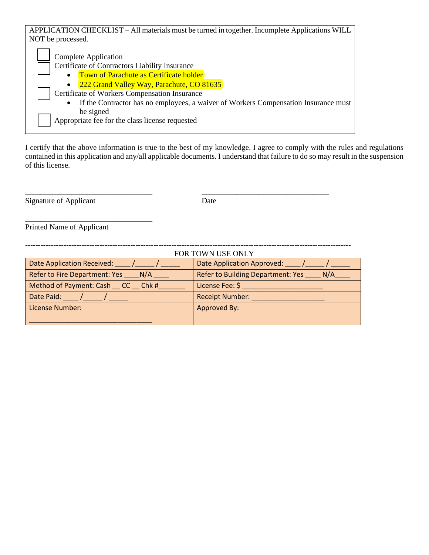| APPLICATION CHECKLIST – All materials must be turned in together. Incomplete Applications WILL   |  |  |  |
|--------------------------------------------------------------------------------------------------|--|--|--|
| NOT be processed.                                                                                |  |  |  |
| Complete Application                                                                             |  |  |  |
| Certificate of Contractors Liability Insurance                                                   |  |  |  |
| Town of Parachute as Certificate holder<br>$\bullet$                                             |  |  |  |
| 222 Grand Valley Way, Parachute, CO 81635                                                        |  |  |  |
| Certificate of Workers Compensation Insurance                                                    |  |  |  |
| If the Contractor has no employees, a waiver of Workers Compensation Insurance must<br>$\bullet$ |  |  |  |
| be signed                                                                                        |  |  |  |
| Appropriate fee for the class license requested                                                  |  |  |  |
|                                                                                                  |  |  |  |

I certify that the above information is true to the best of my knowledge. I agree to comply with the rules and regulations contained in this application and any/all applicable documents. I understand that failure to do so may result in the suspension of this license.

Signature of Applicant Date

Printed Name of Applicant

\_\_\_\_\_\_\_\_\_\_\_\_\_\_\_\_\_\_\_\_\_\_\_\_\_\_\_\_\_\_\_\_\_

| FOR TOWN USE ONLY                    |                                                 |  |
|--------------------------------------|-------------------------------------------------|--|
| <b>Date Application Received:</b>    | Date Application Approved:                      |  |
| Refer to Fire Department: Yes<br>N/A | <b>Refer to Building Department: Yes</b><br>N/A |  |
| Method of Payment: Cash CC Chk #     | License Fee: \$                                 |  |
| Date Paid:                           | <b>Receipt Number:</b>                          |  |
| License Number:                      | Approved By:                                    |  |
|                                      |                                                 |  |

\_\_\_\_\_\_\_\_\_\_\_\_\_\_\_\_\_\_\_\_\_\_\_\_\_\_\_\_\_\_\_\_\_ \_\_\_\_\_\_\_\_\_\_\_\_\_\_\_\_\_\_\_\_\_\_\_\_\_\_\_\_\_\_\_\_\_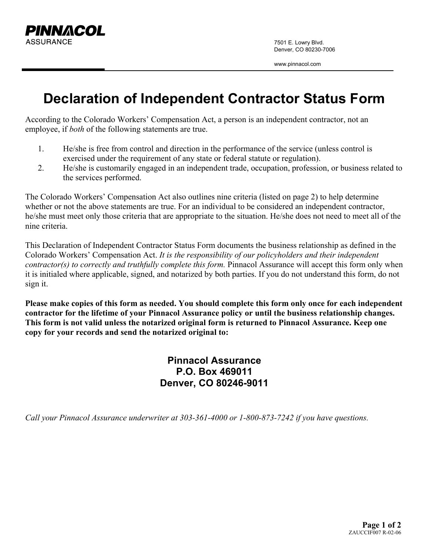

7501 E. Lowry Blvd. Denver, CO 80230-7006

www.pinnacol.com

## **Declaration of Independent Contractor Status Form**

According to the Colorado Workers' Compensation Act, a person is an independent contractor, not an employee, if *both* of the following statements are true.

- 1. He/she is free from control and direction in the performance of the service (unless control is exercised under the requirement of any state or federal statute or regulation).
- 2. He/she is customarily engaged in an independent trade, occupation, profession, or business related to the services performed.

The Colorado Workers' Compensation Act also outlines nine criteria (listed on page 2) to help determine whether or not the above statements are true. For an individual to be considered an independent contractor, he/she must meet only those criteria that are appropriate to the situation. He/she does not need to meet all of the nine criteria.

This Declaration of Independent Contractor Status Form documents the business relationship as defined in the Colorado Workers' Compensation Act. *It is the responsibility of our policyholders and their independent contractor(s) to correctly and truthfully complete this form.* Pinnacol Assurance will accept this form only when it is initialed where applicable, signed, and notarized by both parties. If you do not understand this form, do not sign it.

**Please make copies of this form as needed. You should complete this form only once for each independent contractor for the lifetime of your Pinnacol Assurance policy or until the business relationship changes. This form is not valid unless the notarized original form is returned to Pinnacol Assurance. Keep one copy for your records and send the notarized original to:** 

> **Pinnacol Assurance P.O. Box 469011 Denver, CO 80246-9011**

*Call your Pinnacol Assurance underwriter at 303-361-4000 or 1-800-873-7242 if you have questions.*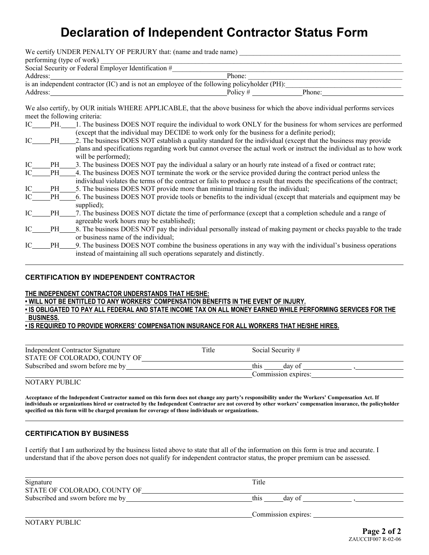## **Declaration of Independent Contractor Status Form**

| We certify UNDER PENALTY OF PERJURY that: (name and trade name)                                                                                                                                                                                                                                                                        |            |               |
|----------------------------------------------------------------------------------------------------------------------------------------------------------------------------------------------------------------------------------------------------------------------------------------------------------------------------------------|------------|---------------|
| performing (type of work)                                                                                                                                                                                                                                                                                                              |            |               |
| Social Security or Federal Employer Identification #                                                                                                                                                                                                                                                                                   |            |               |
|                                                                                                                                                                                                                                                                                                                                        | Phone:     |               |
| is an independent contractor (IC) and is not an employee of the following policyholder (PH):                                                                                                                                                                                                                                           |            |               |
| Address:                                                                                                                                                                                                                                                                                                                               | Policy $#$ | Phone: $\_\_$ |
| We also certify, by OUR initials WHERE APPLICABLE, that the above business for which the above individual performs services<br>meet the following criteria:<br>IC PH. 1. The business DOES NOT require the individual to work ONLY for the business for whom services are performed<br>$\ell$ and thin powers in the intervalse $\ell$ |            |               |

|     |     | (except that the individual may DECIDE to work only for the business for a definite period).                              |
|-----|-----|---------------------------------------------------------------------------------------------------------------------------|
| IС  | PH  | 2. The business DOES NOT establish a quality standard for the individual (except that the business may provide            |
|     |     | plans and specifications regarding work but cannot oversee the actual work or instruct the individual as to how work      |
|     |     | will be performed);                                                                                                       |
| IC. | PH. | 3. The business DOES NOT pay the individual a salary or an hourly rate instead of a fixed or contract rate;               |
| IС  | PH  | 4. The business DOES NOT terminate the work or the service provided during the contract period unless the                 |
|     |     | individual violates the terms of the contract or fails to produce a result that meets the specifications of the contract; |
| IC  | PH. | 5. The business DOES NOT provide more than minimal training for the individual;                                           |
| IC  | PH  | 6. The business DOES NOT provide tools or benefits to the individual (except that materials and equipment may be          |
|     |     | supplied);                                                                                                                |
| IC  | PH. | 7. The business DOES NOT dictate the time of performance (except that a completion schedule and a range of                |
|     |     | agreeable work hours may be established);                                                                                 |

- IC PH 8. The business DOES NOT pay the individual personally instead of making payment or checks payable to the trade or business name of the individual;
- IC PH 9. The business DOES NOT combine the business operations in any way with the individual's business operations instead of maintaining all such operations separately and distinctly.

#### **CERTIFICATION BY INDEPENDENT CONTRACTOR**

#### **THE INDEPENDENT CONTRACTOR UNDERSTANDS THAT HE/SHE:**

**• WILL NOT BE ENTITLED TO ANY WORKERS' COMPENSATION BENEFITS IN THE EVENT OF INJURY.**

#### **• IS OBLIGATED TO PAY ALL FEDERAL AND STATE INCOME TAX ON ALL MONEY EARNED WHILE PERFORMING SERVICES FOR THE BUSINESS.**

**• IS REQUIRED TO PROVIDE WORKERS' COMPENSATION INSURANCE FOR ALL WORKERS THAT HE/SHE HIRES.**

| Independent Contractor Signature  | Title | Social Security #   |  |
|-----------------------------------|-------|---------------------|--|
| STATE OF COLORADO, COUNTY OF      |       |                     |  |
| Subscribed and sworn before me by |       | this<br>day of      |  |
|                                   |       | Commission expires: |  |

#### NOTARY PUBLIC

 $\overline{a}$ 

**Acceptance of the Independent Contractor named on this form does not change any party's responsibility under the Workers' Compensation Act. If individuals or organizations hired or contracted by the Independent Contractor are not covered by other workers' compensation insurance, the policyholder specified on this form will be charged premium for coverage of those individuals or organizations.**  l

### **CERTIFICATION BY BUSINESS**

I certify that I am authorized by the business listed above to state that all of the information on this form is true and accurate. I understand that if the above person does not qualify for independent contractor status, the proper premium can be assessed.

| Signature<br>STATE OF COLORADO, COUNTY OF | Title               |
|-------------------------------------------|---------------------|
| Subscribed and sworn before me by         | this<br>day of      |
|                                           | Commission expires: |